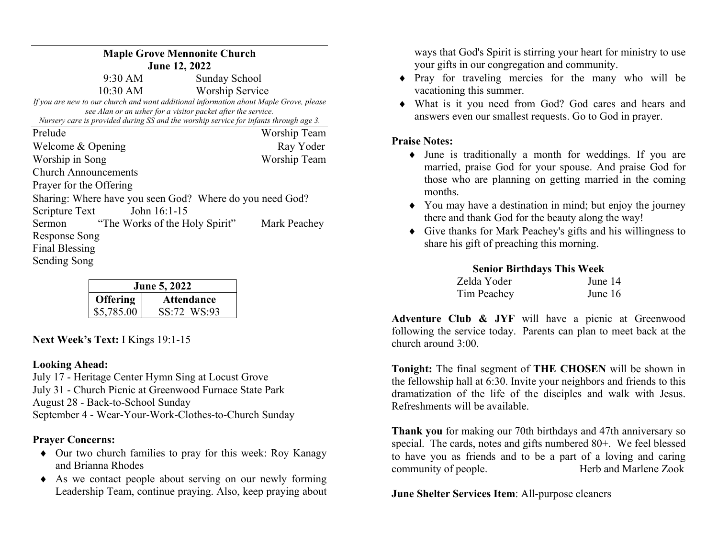| <b>Maple Grove Mennonite Church</b>                                                                                                                   |                        |  |  |
|-------------------------------------------------------------------------------------------------------------------------------------------------------|------------------------|--|--|
| <b>June 12, 2022</b>                                                                                                                                  |                        |  |  |
| 9:30 AM                                                                                                                                               | Sunday School          |  |  |
| $10:30 \text{ AM}$                                                                                                                                    | <b>Worship Service</b> |  |  |
| If you are new to our church and want additional information about Maple Grove, please                                                                |                        |  |  |
| see Alan or an usher for a visitor packet after the service.<br>Nursery care is provided during SS and the worship service for infants through age 3. |                        |  |  |
| Prelude                                                                                                                                               | Worship Team           |  |  |
| Welcome & Opening                                                                                                                                     | Ray Yoder              |  |  |
| Worship in Song                                                                                                                                       | Worship Team           |  |  |
| <b>Church Announcements</b>                                                                                                                           |                        |  |  |
| Prayer for the Offering                                                                                                                               |                        |  |  |
| Sharing: Where have you seen God? Where do you need God?                                                                                              |                        |  |  |
| Scripture Text<br>John $16:1-15$                                                                                                                      |                        |  |  |
| "The Works of the Holy Spirit"<br>Sermon                                                                                                              | Mark Peachey           |  |  |
| Response Song                                                                                                                                         |                        |  |  |
| Final Blessing                                                                                                                                        |                        |  |  |
| Sending Song                                                                                                                                          |                        |  |  |

| June 5, 2022    |                   |  |
|-----------------|-------------------|--|
| <b>Offering</b> | <b>Attendance</b> |  |
| \$5,785.00      | SS:72 WS:93       |  |

Next Week's Text: I Kings 19:1-15

## Looking Ahead:

July 17 - Heritage Center Hymn Sing at Locust Grove July 31 - Church Picnic at Greenwood Furnace State Park August 28 - Back-to-School Sunday September 4 - Wear-Your-Work-Clothes-to-Church Sunday

## Prayer Concerns:

- Our two church families to pray for this week: Roy Kanagy and Brianna Rhodes
- As we contact people about serving on our newly forming Leadership Team, continue praying. Also, keep praying about

ways that God's Spirit is stirring your heart for ministry to use your gifts in our congregation and community.

- Pray for traveling mercies for the many who will be vacationing this summer.
- What is it you need from God? God cares and hears and answers even our smallest requests. Go to God in prayer.

# Praise Notes:

- June is traditionally a month for weddings. If you are married, praise God for your spouse. And praise God for those who are planning on getting married in the coming months.
- You may have a destination in mind; but enjoy the journey there and thank God for the beauty along the way!
- Give thanks for Mark Peachey's gifts and his willingness to share his gift of preaching this morning.

## Senior Birthdays This Week

| Zelda Yoder | June 14 |
|-------------|---------|
| Tim Peachey | June 16 |

Adventure Club & JYF will have a picnic at Greenwood following the service today. Parents can plan to meet back at the church around 3:00.

Tonight: The final segment of THE CHOSEN will be shown in the fellowship hall at 6:30. Invite your neighbors and friends to this dramatization of the life of the disciples and walk with Jesus. Refreshments will be available.

Thank you for making our 70th birthdays and 47th anniversary so special. The cards, notes and gifts numbered 80+. We feel blessed to have you as friends and to be a part of a loving and caring community of people. Herb and Marlene Zook

June Shelter Services Item: All-purpose cleaners